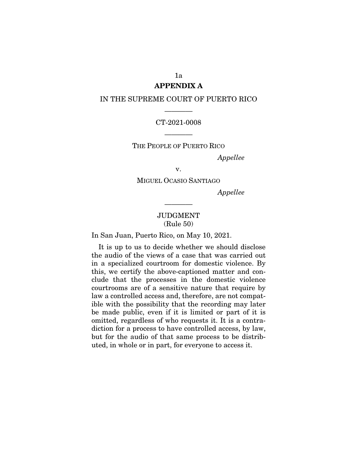# APPENDIX A

### IN THE SUPREME COURT OF PUERTO RICO

## ———— CT-2021-0008

THE PEOPLE OF PUERTO RICO

————

*Appellee* 

v.

MIGUEL OCASIO SANTIAGO

*Appellee* 

## JUDGMENT (Rule 50)

————

In San Juan, Puerto Rico, on May 10, 2021.

It is up to us to decide whether we should disclose the audio of the views of a case that was carried out in a specialized courtroom for domestic violence. By this, we certify the above-captioned matter and conclude that the processes in the domestic violence courtrooms are of a sensitive nature that require by law a controlled access and, therefore, are not compatible with the possibility that the recording may later be made public, even if it is limited or part of it is omitted, regardless of who requests it. It is a contradiction for a process to have controlled access, by law, but for the audio of that same process to be distributed, in whole or in part, for everyone to access it.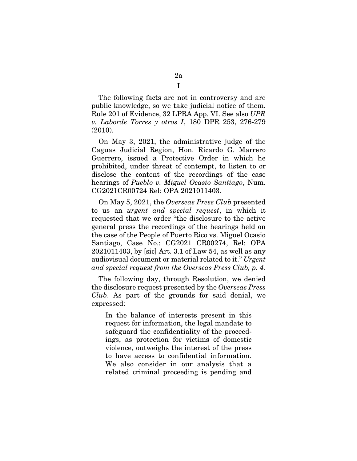The following facts are not in controversy and are public knowledge, so we take judicial notice of them. Rule 201 of Evidence, 32 LPRA App. VI. See also *UPR v. Laborde Torres y otros I*, 180 DPR 253, 276-279 (2010).

On May 3, 2021, the administrative judge of the Caguas Judicial Region, Hon. Ricardo G. Marrero Guerrero, issued a Protective Order in which he prohibited, under threat of contempt, to listen to or disclose the content of the recordings of the case hearings of *Pueblo v. Miguel Ocasio Santiago*, Num. CG2021CR00724 Rel: OPA 2021011403.

On May 5, 2021, the *Overseas Press Club* presented to us an *urgent and special request*, in which it requested that we order "the disclosure to the active general press the recordings of the hearings held on the case of the People of Puerto Rico vs. Miguel Ocasio Santiago, Case No.: CG2021 CR00274, Rel: OPA 2021011403, by [sic] Art. 3.1 of Law 54, as well as any audiovisual document or material related to it." *Urgent and special request from the Overseas Press Club, p. 4.* 

The following day, through Resolution, we denied the disclosure request presented by the *Overseas Press Club*. As part of the grounds for said denial, we expressed:

In the balance of interests present in this request for information, the legal mandate to safeguard the confidentiality of the proceedings, as protection for victims of domestic violence, outweighs the interest of the press to have access to confidential information. We also consider in our analysis that a related criminal proceeding is pending and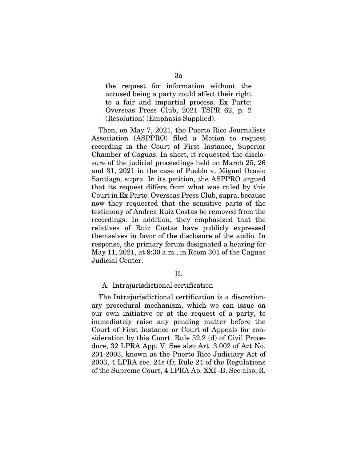the request for information without the accused being a party could affect their right to a fair and impartial process. Ex Parte: Overseas Press Club, 2021 TSPR 62, p. 2 (Resolution) (Emphasis Supplied).

Then, on May 7, 2021, the Puerto Rico Journalists Association (ASPPRO) filed a Motion to request recording in the Court of First Instance, Superior Chamber of Caguas. In short, it requested the disclosure of the judicial proceedings held on March 25, 26 and 31, 2021 in the case of Pueblo v. Miguel Ocasio Santiago, supra. In its petition, the ASPPRO argued that its request differs from what was ruled by this Court in Ex Parte: Overseas Press Club, supra, because now they requested that the sensitive parts of the testimony of Andrea Ruiz Costas be removed from the recordings. In addition, they emphasized that the relatives of Ruiz Costas have publicly expressed themselves in favor of the disclosure of the audio. In response, the primary forum designated a hearing for May 11, 2021, at 9:30 a.m., in Room 301 of the Caguas Judicial Center.

### II.

#### A. Intrajurisdictional certification

The Intrajurisdictional certification is a discretionary procedural mechanism, which we can issue on our own initiative or at the request of a party, to immediately raise any pending matter before the Court of First Instance or Court of Appeals for consideration by this Court. Rule 52.2 (d) of Civil Procedure, 32 LPRA App. V. See also Art. 3.002 of Act No. 201-2003, known as the Puerto Rico Judiciary Act of 2003, 4 LPRA sec. 24s (f); Rule 24 of the Regulations of the Supreme Court, 4 LPRA Ap. XXI -B. See also, R.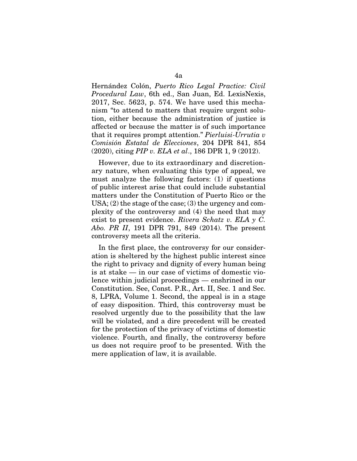Hernández Colón, *Puerto Rico Legal Practice: Civil Procedural Law*, 6th ed., San Juan, Ed. LexisNexis, 2017, Sec. 5623, p. 574. We have used this mechanism "to attend to matters that require urgent solution, either because the administration of justice is affected or because the matter is of such importance that it requires prompt attention." *Pierluisi-Urrutia v Comisión Estatal de Elecciones*, 204 DPR 841, 854 (2020), citing *PIP v. ELA et al*., 186 DPR 1, 9 (2012).

However, due to its extraordinary and discretionary nature, when evaluating this type of appeal, we must analyze the following factors: (1) if questions of public interest arise that could include substantial matters under the Constitution of Puerto Rico or the USA; (2) the stage of the case; (3) the urgency and complexity of the controversy and (4) the need that may exist to present evidence. *Rivera Schatz v. ELA y C. Abo. PR II*, 191 DPR 791, 849 (2014). The present controversy meets all the criteria.

In the first place, the controversy for our consideration is sheltered by the highest public interest since the right to privacy and dignity of every human being is at stake — in our case of victims of domestic violence within judicial proceedings — enshrined in our Constitution. See, Const. P.R., Art. II, Sec. 1 and Sec. 8, LPRA, Volume 1. Second, the appeal is in a stage of easy disposition. Third, this controversy must be resolved urgently due to the possibility that the law will be violated, and a dire precedent will be created for the protection of the privacy of victims of domestic violence. Fourth, and finally, the controversy before us does not require proof to be presented. With the mere application of law, it is available.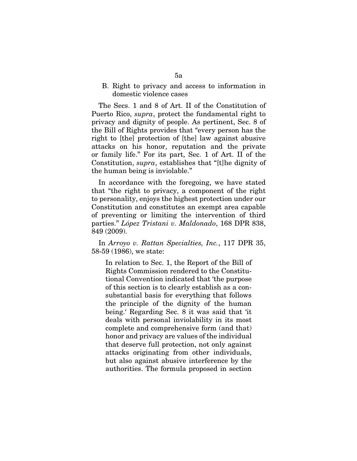### B. Right to privacy and access to information in domestic violence cases

The Secs. 1 and 8 of Art. II of the Constitution of Puerto Rico, *supra*, protect the fundamental right to privacy and dignity of people. As pertinent, Sec. 8 of the Bill of Rights provides that "every person has the right to [the] protection of [the] law against abusive attacks on his honor, reputation and the private or family life." For its part, Sec. 1 of Art. II of the Constitution, *supra*, establishes that "[t]he dignity of the human being is inviolable."

In accordance with the foregoing, we have stated that "the right to privacy, a component of the right to personality, enjoys the highest protection under our Constitution and constitutes an exempt area capable of preventing or limiting the intervention of third parties." *López Tristani v. Maldonado*, 168 DPR 838, 849 (2009).

In *Arroyo v. Rattan Specialties, Inc.*, 117 DPR 35, 58-59 (1986), we state:

In relation to Sec. 1, the Report of the Bill of Rights Commission rendered to the Constitutional Convention indicated that 'the purpose of this section is to clearly establish as a consubstantial basis for everything that follows the principle of the dignity of the human being.' Regarding Sec. 8 it was said that 'it deals with personal inviolability in its most complete and comprehensive form (and that) honor and privacy are values of the individual that deserve full protection, not only against attacks originating from other individuals, but also against abusive interference by the authorities. The formula proposed in section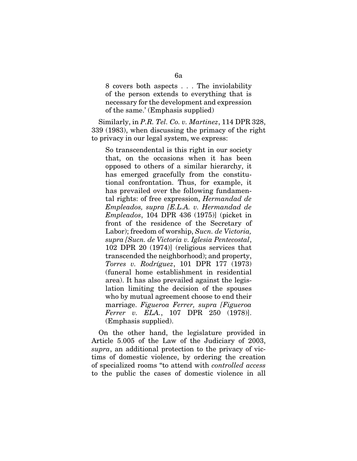8 covers both aspects . . . The inviolability of the person extends to everything that is necessary for the development and expression of the same.' (Emphasis supplied)

Similarly, in *P.R. Tel. Co. v. Martinez*, 114 DPR 328, 339 (1983), when discussing the primacy of the right to privacy in our legal system, we express:

So transcendental is this right in our society that, on the occasions when it has been opposed to others of a similar hierarchy, it has emerged gracefully from the constitutional confrontation. Thus, for example, it has prevailed over the following fundamental rights: of free expression, *Hermandad de Empleados, supra [E.L.A. v. Hermandad de Empleados*, 104 DPR 436 (1975)] (picket in front of the residence of the Secretary of Labor); freedom of worship, *Sucn. de Victoria, supra [Sucn. de Victoria v. Iglesia Pentecostal*, 102 DPR 20 (1974)] (religious services that transcended the neighborhood); and property, *Torres v. Rodríguez*, 101 DPR 177 (1973) (funeral home establishment in residential area). It has also prevailed against the legislation limiting the decision of the spouses who by mutual agreement choose to end their marriage. *Figueroa Ferrer, supra [Figueroa Ferrer v. ELA.*, 107 DPR 250 (1978)]. (Emphasis supplied).

On the other hand, the legislature provided in Article 5.005 of the Law of the Judiciary of 2003, *supra*, an additional protection to the privacy of victims of domestic violence, by ordering the creation of specialized rooms "to attend with *controlled access* to the public the cases of domestic violence in all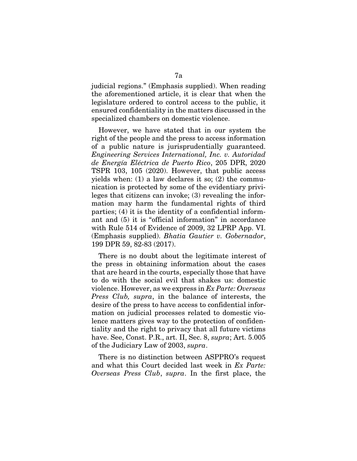judicial regions." (Emphasis supplied). When reading the aforementioned article, it is clear that when the legislature ordered to control access to the public, it ensured confidentiality in the matters discussed in the specialized chambers on domestic violence.

However, we have stated that in our system the right of the people and the press to access information of a public nature is jurisprudentially guaranteed. *Engineering Services International, Inc. v. Autoridad de Energía Eléctrica de Puerto Rico*, 205 DPR, 2020 TSPR 103, 105 (2020). However, that public access yields when: (1) a law declares it so; (2) the communication is protected by some of the evidentiary privileges that citizens can invoke; (3) revealing the information may harm the fundamental rights of third parties; (4) it is the identity of a confidential informant and (5) it is "official information" in accordance with Rule 514 of Evidence of 2009, 32 LPRP App. VI. (Emphasis supplied). *Bhatia Gautier v. Gobernador*, 199 DPR 59, 82-83 (2017).

There is no doubt about the legitimate interest of the press in obtaining information about the cases that are heard in the courts, especially those that have to do with the social evil that shakes us: domestic violence. However, as we express in *Ex Parte: Overseas Press Club, supra*, in the balance of interests, the desire of the press to have access to confidential information on judicial processes related to domestic violence matters gives way to the protection of confidentiality and the right to privacy that all future victims have. See, Const. P.R., art. II, Sec. 8, *supra*; Art. 5.005 of the Judiciary Law of 2003, *supra*.

There is no distinction between ASPPRO's request and what this Court decided last week in *Ex Parte: Overseas Press Club*, *supra*. In the first place, the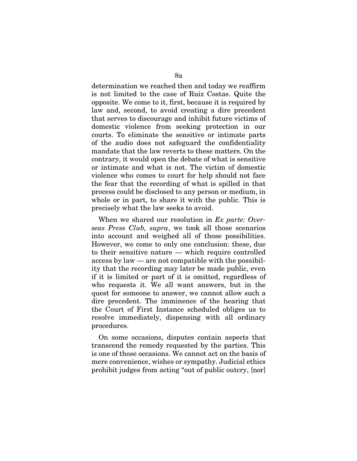determination we reached then and today we reaffirm is not limited to the case of Ruiz Costas. Quite the opposite. We come to it, first, because it is required by law and, second, to avoid creating a dire precedent that serves to discourage and inhibit future victims of domestic violence from seeking protection in our courts. To eliminate the sensitive or intimate parts of the audio does not safeguard the confidentiality mandate that the law reverts to these matters. On the contrary, it would open the debate of what is sensitive or intimate and what is not. The victim of domestic violence who comes to court for help should not face the fear that the recording of what is spilled in that process could be disclosed to any person or medium, in whole or in part, to share it with the public. This is precisely what the law seeks to avoid.

When we shared our resolution in *Ex parte: Overseas Press Club, supra*, we took all those scenarios into account and weighed all of those possibilities. However, we come to only one conclusion: these, due to their sensitive nature — which require controlled access by law — are not compatible with the possibility that the recording may later be made public, even if it is limited or part of it is omitted, regardless of who requests it. We all want answers, but in the quest for someone to answer, we cannot allow such a dire precedent. The imminence of the hearing that the Court of First Instance scheduled obliges us to resolve immediately, dispensing with all ordinary procedures.

On some occasions, disputes contain aspects that transcend the remedy requested by the parties. This is one of those occasions. We cannot act on the basis of mere convenience, wishes or sympathy. Judicial ethics prohibit judges from acting "out of public outcry, [nor]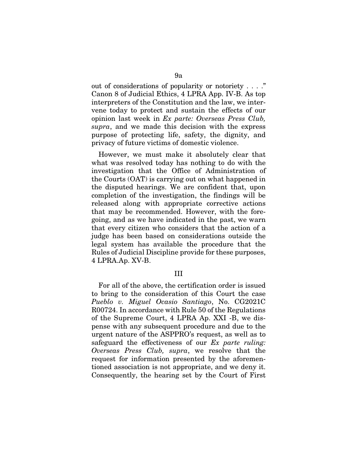out of considerations of popularity or notoriety . . . ." Canon 8 of Judicial Ethics, 4 LPRA App. IV-B. As top interpreters of the Constitution and the law, we intervene today to protect and sustain the effects of our opinion last week in *Ex parte: Overseas Press Club, supra*, and we made this decision with the express purpose of protecting life, safety, the dignity, and privacy of future victims of domestic violence.

However, we must make it absolutely clear that what was resolved today has nothing to do with the investigation that the Office of Administration of the Courts (OAT) is carrying out on what happened in the disputed hearings. We are confident that, upon completion of the investigation, the findings will be released along with appropriate corrective actions that may be recommended. However, with the foregoing, and as we have indicated in the past, we warn that every citizen who considers that the action of a judge has been based on considerations outside the legal system has available the procedure that the Rules of Judicial Discipline provide for these purposes, 4 LPRA.Ap. XV-B.

### III

For all of the above, the certification order is issued to bring to the consideration of this Court the case *Pueblo v. Miguel Ocasio Santiago*, No. CG2021C R00724. In accordance with Rule 50 of the Regulations of the Supreme Court, 4 LPRA Ap. XXI -B, we dispense with any subsequent procedure and due to the urgent nature of the ASPPRO's request, as well as to safeguard the effectiveness of our *Ex parte ruling: Overseas Press Club, supra*, we resolve that the request for information presented by the aforementioned association is not appropriate, and we deny it. Consequently, the hearing set by the Court of First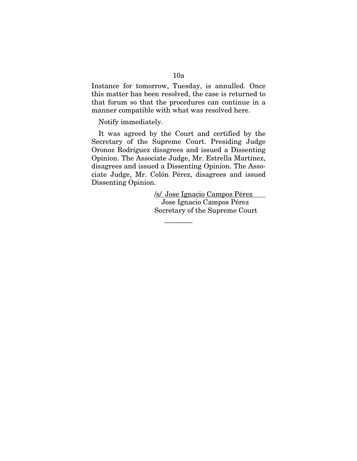Instance for tomorrow, Tuesday, is annulled. Once this matter has been resolved, the case is returned to that forum so that the procedures can continue in a manner compatible with what was resolved here.

Notify immediately.

It was agreed by the Court and certified by the Secretary of the Supreme Court. Presiding Judge Oronoz Rodríguez disagrees and issued a Dissenting Opinion. The Associate Judge, Mr. Estrella Martínez, disagrees and issued a Dissenting Opinion. The Associate Judge, Mr. Colón Pérez, disagrees and issued Dissenting Opinion.

————

/s/ Jose Ignacio Campos Pérez Jose Ignacio Campos Pérez Secretary of the Supreme Court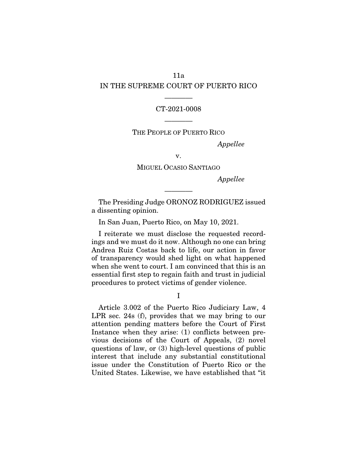## 11a IN THE SUPREME COURT OF PUERTO RICO

#### CT-2021-0008

————

THE PEOPLE OF PUERTO RICO

————

*Appellee* 

v.

MIGUEL OCASIO SANTIAGO

*Appellee* 

The Presiding Judge ORONOZ RODRIGUEZ issued a dissenting opinion.

————

In San Juan, Puerto Rico, on May 10, 2021.

I reiterate we must disclose the requested recordings and we must do it now. Although no one can bring Andrea Ruiz Costas back to life, our action in favor of transparency would shed light on what happened when she went to court. I am convinced that this is an essential first step to regain faith and trust in judicial procedures to protect victims of gender violence.

I

Article 3.002 of the Puerto Rico Judiciary Law, 4 LPR sec. 24s (f), provides that we may bring to our attention pending matters before the Court of First Instance when they arise: (1) conflicts between previous decisions of the Court of Appeals, (2) novel questions of law, or (3) high-level questions of public interest that include any substantial constitutional issue under the Constitution of Puerto Rico or the United States. Likewise, we have established that "it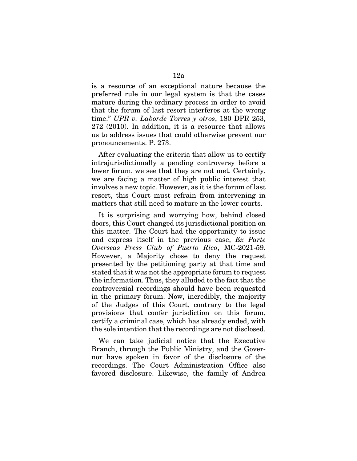is a resource of an exceptional nature because the preferred rule in our legal system is that the cases mature during the ordinary process in order to avoid that the forum of last resort interferes at the wrong time." *UPR v. Laborde Torres y otros*, 180 DPR 253, 272 (2010). In addition, it is a resource that allows us to address issues that could otherwise prevent our pronouncements. P. 273.

After evaluating the criteria that allow us to certify intrajurisdictionally a pending controversy before a lower forum, we see that they are not met. Certainly, we are facing a matter of high public interest that involves a new topic. However, as it is the forum of last resort, this Court must refrain from intervening in matters that still need to mature in the lower courts.

It is surprising and worrying how, behind closed doors, this Court changed its jurisdictional position on this matter. The Court had the opportunity to issue and express itself in the previous case, *Ex Parte Overseas Press Club of Puerto Rico*, MC-2021-59. However, a Majority chose to deny the request presented by the petitioning party at that time and stated that it was not the appropriate forum to request the information. Thus, they alluded to the fact that the controversial recordings should have been requested in the primary forum. Now, incredibly, the majority of the Judges of this Court, contrary to the legal provisions that confer jurisdiction on this forum, certify a criminal case, which has already ended, with the sole intention that the recordings are not disclosed.

We can take judicial notice that the Executive Branch, through the Public Ministry, and the Governor have spoken in favor of the disclosure of the recordings. The Court Administration Office also favored disclosure. Likewise, the family of Andrea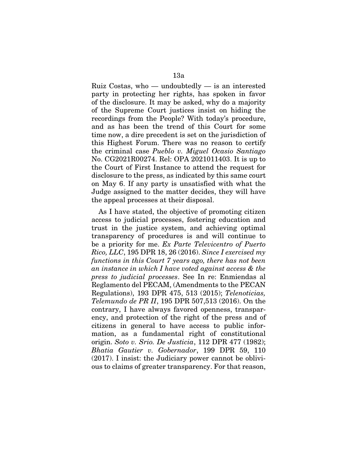Ruiz Costas, who — undoubtedly — is an interested party in protecting her rights, has spoken in favor of the disclosure. It may be asked, why do a majority of the Supreme Court justices insist on hiding the recordings from the People? With today's procedure, and as has been the trend of this Court for some time now, a dire precedent is set on the jurisdiction of this Highest Forum. There was no reason to certify the criminal case *Pueblo v. Miguel Ocasio Santiago* No. CG2021R00274. Rel: OPA 2021011403. It is up to the Court of First Instance to attend the request for disclosure to the press, as indicated by this same court on May 6. If any party is unsatisfied with what the Judge assigned to the matter decides, they will have the appeal processes at their disposal.

As I have stated, the objective of promoting citizen access to judicial processes, fostering education and trust in the justice system, and achieving optimal transparency of procedures is and will continue to be a priority for me. *Ex Parte Televicentro of Puerto Rico, LLC*, 195 DPR 18, 26 (2016). *Since I exercised my functions in this Court 7 years ago, there has not been an instance in which I have voted against access & the press to judicial processes*. See In re: Enmiendas al Reglamento del PECAM, (Amendments to the PECAN Regulations), 193 DPR 475, 513 (2015); *Telenoticias, Telemundo de PR II*, 195 DPR 507,513 (2016). On the contrary, I have always favored openness, transparency, and protection of the right of the press and of citizens in general to have access to public information, as a fundamental right of constitutional origin. *Soto v. Srio. De Justicia*, 112 DPR 477 (1982); *Bhatia Gautier v. Gobernador*, 199 DPR 59, 110 (2017). I insist: the Judiciary power cannot be oblivious to claims of greater transparency. For that reason,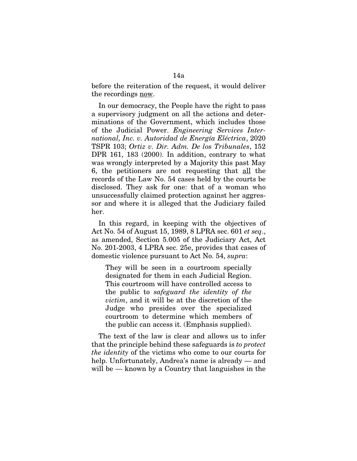before the reiteration of the request, it would deliver the recordings now.

In our democracy, the People have the right to pass a supervisory judgment on all the actions and determinations of the Government, which includes those of the Judicial Power. *Engineering Services International, Inc. v. Autoridad de Energía Eléctrica*, 2020 TSPR 103; *Ortiz v. Dir. Adm. De los Tribunales*, 152 DPR 161, 183 (2000). In addition, contrary to what was wrongly interpreted by a Majority this past May 6, the petitioners are not requesting that all the records of the Law No. 54 cases held by the courts be disclosed. They ask for one: that of a woman who unsuccessfully claimed protection against her aggressor and where it is alleged that the Judiciary failed her.

In this regard, in keeping with the objectives of Act No. 54 of August 15, 1989, 8 LPRA sec. 601 *et seq*., as amended, Section 5.005 of the Judiciary Act, Act No. 201-2003, 4 LPRA sec. 25e, provides that cases of domestic violence pursuant to Act No. 54, *supra*:

They will be seen in a courtroom specially designated for them in each Judicial Region. This courtroom will have controlled access to the public to *safeguard the identity of the victim*, and it will be at the discretion of the Judge who presides over the specialized courtroom to determine which members of the public can access it. (Emphasis supplied).

The text of the law is clear and allows us to infer that the principle behind these safeguards is *to protect the identity* of the victims who come to our courts for help. Unfortunately, Andrea's name is already — and will be — known by a Country that languishes in the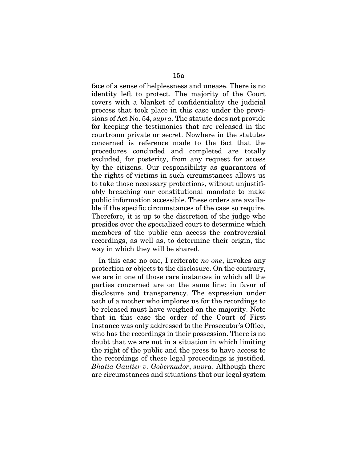face of a sense of helplessness and unease. There is no identity left to protect. The majority of the Court covers with a blanket of confidentiality the judicial process that took place in this case under the provisions of Act No. 54, *supra*. The statute does not provide for keeping the testimonies that are released in the courtroom private or secret. Nowhere in the statutes concerned is reference made to the fact that the procedures concluded and completed are totally excluded, for posterity, from any request for access by the citizens. Our responsibility as guarantors of the rights of victims in such circumstances allows us to take those necessary protections, without unjustifiably breaching our constitutional mandate to make public information accessible. These orders are available if the specific circumstances of the case so require. Therefore, it is up to the discretion of the judge who presides over the specialized court to determine which members of the public can access the controversial recordings, as well as, to determine their origin, the way in which they will be shared.

In this case no one, I reiterate *no one*, invokes any protection or objects to the disclosure. On the contrary, we are in one of those rare instances in which all the parties concerned are on the same line: in favor of disclosure and transparency. The expression under oath of a mother who implores us for the recordings to be released must have weighed on the majority. Note that in this case the order of the Court of First Instance was only addressed to the Prosecutor's Office, who has the recordings in their possession. There is no doubt that we are not in a situation in which limiting the right of the public and the press to have access to the recordings of these legal proceedings is justified. *Bhatia Gautier v. Gobernador*, *supra*. Although there are circumstances and situations that our legal system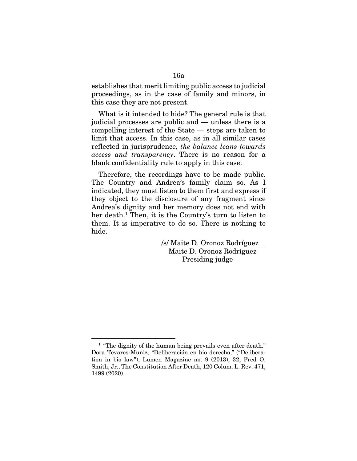establishes that merit limiting public access to judicial proceedings, as in the case of family and minors, in this case they are not present.

What is it intended to hide? The general rule is that judicial processes are public and — unless there is a compelling interest of the State — steps are taken to limit that access. In this case, as in all similar cases reflected in jurisprudence, *the balance leans towards access and transparency*. There is no reason for a blank confidentiality rule to apply in this case.

Therefore, the recordings have to be made public. The Country and Andrea's family claim so. As I indicated, they must listen to them first and express if they object to the disclosure of any fragment since Andrea's dignity and her memory does not end with her death.<sup>1</sup> Then, it is the Country's turn to listen to them. It is imperative to do so. There is nothing to hide.

> /s/ Maite D. Oronoz Rodríguez Maite D. Oronoz Rodríguez Presiding judge

<sup>&</sup>lt;sup>1</sup> "The dignity of the human being prevails even after death." Dora Tevares-Muñiz, "Deliberación en bio derecho," ("Deliberation in bio law"), Lumen Magazine no. 9 (2013), 32; Fred O. Smith, Jr., The Constitution After Death, 120 Colum. L. Rev. 471, 1499 (2020).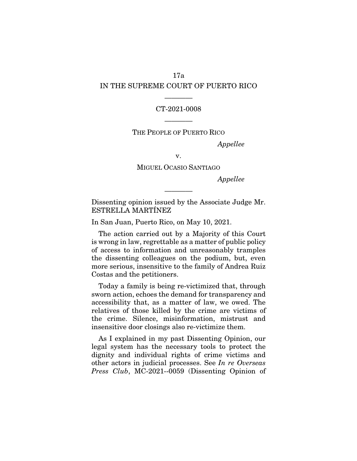## 17a IN THE SUPREME COURT OF PUERTO RICO

### CT-2021-0008

————

THE PEOPLE OF PUERTO RICO

————

*Appellee* 

v.

MIGUEL OCASIO SANTIAGO

*Appellee* 

Dissenting opinion issued by the Associate Judge Mr. ESTRELLA MARTÍNEZ

————

In San Juan, Puerto Rico, on May 10, 2021.

The action carried out by a Majority of this Court is wrong in law, regrettable as a matter of public policy of access to information and unreasonably tramples the dissenting colleagues on the podium, but, even more serious, insensitive to the family of Andrea Ruiz Costas and the petitioners.

Today a family is being re-victimized that, through sworn action, echoes the demand for transparency and accessibility that, as a matter of law, we owed. The relatives of those killed by the crime are victims of the crime. Silence, misinformation, mistrust and insensitive door closings also re-victimize them.

As I explained in my past Dissenting Opinion, our legal system has the necessary tools to protect the dignity and individual rights of crime victims and other actors in judicial processes. See *In re Overseas Press Club*, MC-2021--0059 (Dissenting Opinion of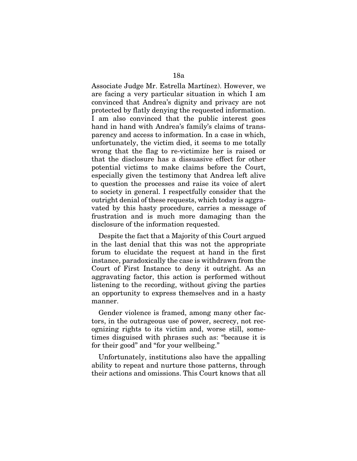Associate Judge Mr. Estrella Martínez). However, we are facing a very particular situation in which I am convinced that Andrea's dignity and privacy are not protected by flatly denying the requested information. I am also convinced that the public interest goes hand in hand with Andrea's family's claims of transparency and access to information. In a case in which, unfortunately, the victim died, it seems to me totally wrong that the flag to re-victimize her is raised or that the disclosure has a dissuasive effect for other potential victims to make claims before the Court, especially given the testimony that Andrea left alive to question the processes and raise its voice of alert to society in general. I respectfully consider that the outright denial of these requests, which today is aggravated by this hasty procedure, carries a message of frustration and is much more damaging than the disclosure of the information requested.

Despite the fact that a Majority of this Court argued in the last denial that this was not the appropriate forum to elucidate the request at hand in the first instance, paradoxically the case is withdrawn from the Court of First Instance to deny it outright. As an aggravating factor, this action is performed without listening to the recording, without giving the parties an opportunity to express themselves and in a hasty manner.

Gender violence is framed, among many other factors, in the outrageous use of power, secrecy, not recognizing rights to its victim and, worse still, sometimes disguised with phrases such as: "because it is for their good" and "for your wellbeing."

Unfortunately, institutions also have the appalling ability to repeat and nurture those patterns, through their actions and omissions. This Court knows that all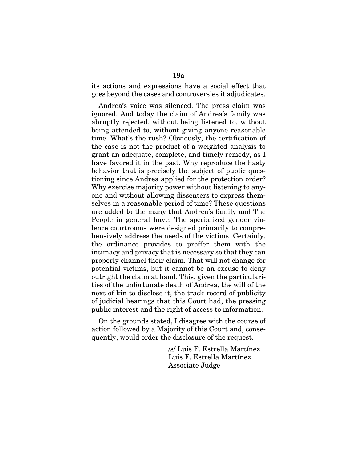its actions and expressions have a social effect that goes beyond the cases and controversies it adjudicates.

Andrea's voice was silenced. The press claim was ignored. And today the claim of Andrea's family was abruptly rejected, without being listened to, without being attended to, without giving anyone reasonable time. What's the rush? Obviously, the certification of the case is not the product of a weighted analysis to grant an adequate, complete, and timely remedy, as I have favored it in the past. Why reproduce the hasty behavior that is precisely the subject of public questioning since Andrea applied for the protection order? Why exercise majority power without listening to anyone and without allowing dissenters to express themselves in a reasonable period of time? These questions are added to the many that Andrea's family and The People in general have. The specialized gender violence courtrooms were designed primarily to comprehensively address the needs of the victims. Certainly, the ordinance provides to proffer them with the intimacy and privacy that is necessary so that they can properly channel their claim. That will not change for potential victims, but it cannot be an excuse to deny outright the claim at hand. This, given the particularities of the unfortunate death of Andrea, the will of the next of kin to disclose it, the track record of publicity of judicial hearings that this Court had, the pressing public interest and the right of access to information.

On the grounds stated, I disagree with the course of action followed by a Majority of this Court and, consequently, would order the disclosure of the request.

> /s/ Luis F. Estrella Martínez Luis F. Estrella Martínez Associate Judge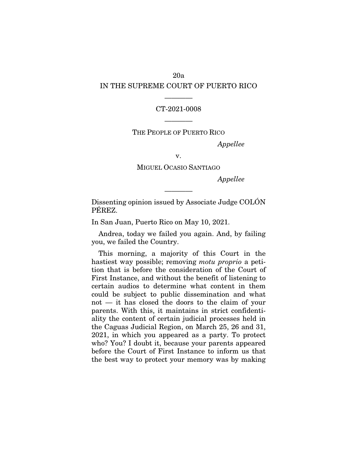## 20a IN THE SUPREME COURT OF PUERTO RICO

### CT-2021-0008

————

THE PEOPLE OF PUERTO RICO

————

*Appellee* 

v.

MIGUEL OCASIO SANTIAGO

*Appellee* 

Dissenting opinion issued by Associate Judge COLÓN PÉREZ.

————

In San Juan, Puerto Rico on May 10, 2021.

Andrea, today we failed you again. And, by failing you, we failed the Country.

This morning, a majority of this Court in the hastiest way possible; removing *motu proprio* a petition that is before the consideration of the Court of First Instance, and without the benefit of listening to certain audios to determine what content in them could be subject to public dissemination and what not — it has closed the doors to the claim of your parents. With this, it maintains in strict confidentiality the content of certain judicial processes held in the Caguas Judicial Region, on March 25, 26 and 31, 2021, in which you appeared as a party. To protect who? You? I doubt it, because your parents appeared before the Court of First Instance to inform us that the best way to protect your memory was by making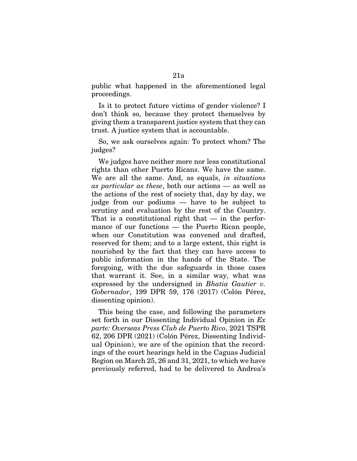public what happened in the aforementioned legal proceedings.

Is it to protect future victims of gender violence? I don't think so, because they protect themselves by giving them a transparent justice system that they can trust. A justice system that is accountable.

So, we ask ourselves again: To protect whom? The judges?

We judges have neither more nor less constitutional rights than other Puerto Ricans. We have the same. We are all the same. And, as equals, *in situations as particular as these*, both our actions — as well as the actions of the rest of society that, day by day, we judge from our podiums — have to be subject to scrutiny and evaluation by the rest of the Country. That is a constitutional right that  $-$  in the performance of our functions — the Puerto Rican people, when our Constitution was convened and drafted, reserved for them; and to a large extent, this right is nourished by the fact that they can have access to public information in the hands of the State. The foregoing, with the due safeguards in those cases that warrant it. See, in a similar way, what was expressed by the undersigned in *Bhatia Gautier v. Gobernador*, 199 DPR 59, 176 (2017) (Colón Pérez, dissenting opinion).

This being the case, and following the parameters set forth in our Dissenting Individual Opinion in *Ex parte: Overseas Press Club de Puerto Rico*, 2021 TSPR 62, 206 DPR (2021) (Colón Pérez, Dissenting Individual Opinion), we are of the opinion that the recordings of the court hearings held in the Caguas Judicial Region on March 25, 26 and 31, 2021, to which we have previously referred, had to be delivered to Andrea's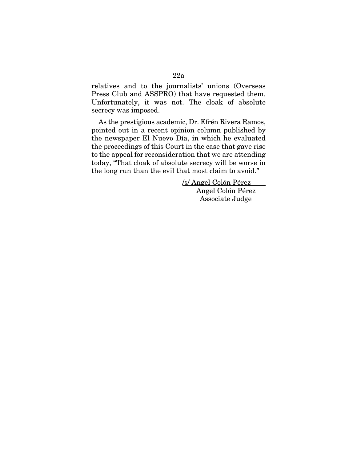relatives and to the journalists' unions (Overseas Press Club and ASSPRO) that have requested them. Unfortunately, it was not. The cloak of absolute secrecy was imposed.

As the prestigious academic, Dr. Efrén Rivera Ramos, pointed out in a recent opinion column published by the newspaper El Nuevo Día, in which he evaluated the proceedings of this Court in the case that gave rise to the appeal for reconsideration that we are attending today, "That cloak of absolute secrecy will be worse in the long run than the evil that most claim to avoid."

> /s/ Angel Colón Pérez Angel Colón Pérez Associate Judge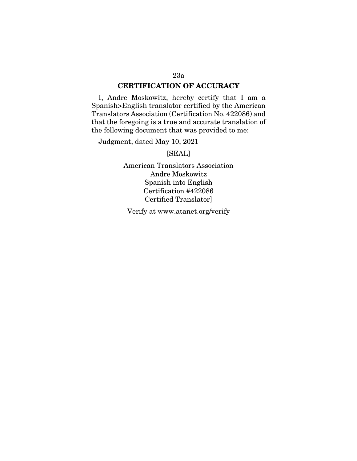### CERTIFICATION OF ACCURACY

I, Andre Moskowitz, hereby certify that I am a Spanish>English translator certified by the American Translators Association (Certification No. 422086) and that the foregoing is a true and accurate translation of the following document that was provided to me:

Judgment, dated May 10, 2021

[SEAL]

American Translators Association Andre Moskowitz Spanish into English Certification #422086 Certified Translator]

Verify at www.atanet.org/verify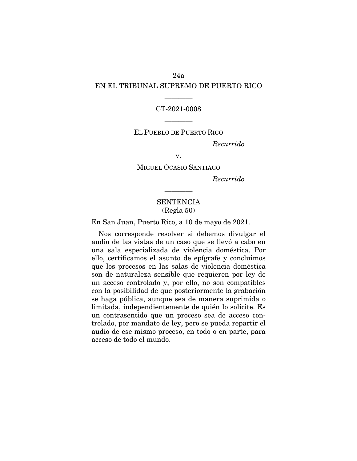## 24a EN EL TRIBUNAL SUPREMO DE PUERTO RICO

### CT-2021-0008

————

## EL PUEBLO DE PUERTO RICO

————

*Recurrido* 

v.

MIGUEL OCASIO SANTIAGO

*Recurrido* 

## **SENTENCIA** (Regla 50)

————

En San Juan, Puerto Rico, a 10 de mayo de 2021.

Nos corresponde resolver si debemos divulgar el audio de las vistas de un caso que se llevó a cabo en una sala especializada de violencia doméstica. Por ello, certificamos el asunto de epígrafe y concluimos que los procesos en las salas de violencia doméstica son de naturaleza sensible que requieren por ley de un acceso controlado y, por ello, no son compatibles con la posibilidad de que posteriormente la grabación se haga pública, aunque sea de manera suprimida o limitada, independientemente de quién lo solicite. Es un contrasentido que un proceso sea de acceso controlado, por mandato de ley, pero se pueda repartir el audio de ese mismo proceso, en todo o en parte, para acceso de todo el mundo.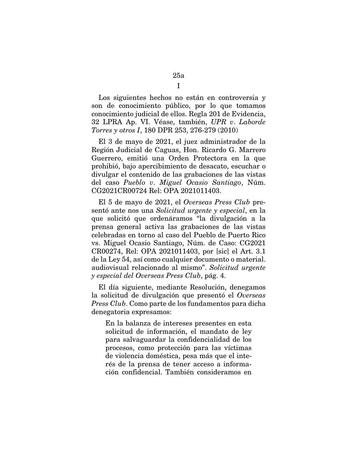Los siguientes hechos no están en controversia y son de conocimiento público, por lo que tomamos conocimiento judicial de ellos. Regla 201 de Evidencia, 32 LPRA Ap. VI. Véase, también, *UPR v*. *Laborde Torres y otros I*, 180 DPR 253, 276-279 (2010)

El 3 de mayo de 2021, el juez administrador de la Región Judicial de Caguas, Hon. Ricardo G. Marrero Guerrero, emitió una Orden Protectora en la que prohibió, bajo apercibimiento de desacato, escuchar o divulgar el contenido de las grabaciones de las vistas del caso *Pueblo v*. *Miguel Ocasio Santiago*, Núm. CG2021CR00724 Rel: OPA 2021011403.

El 5 de mayo de 2021, el *Overseas Press Club* presentó ante nos una *Solicitud urgente y especial*, en la que solicitó que ordenáramos "la divulgación a la prensa general activa las grabaciones de las vistas celebradas en torno al caso del Pueblo de Puerto Rico vs. Miguel Ocasio Santiago, Núm. de Caso: CG2021 CR00274, Rel: OPA 2021011403, por [sic] el Art. 3.1 de la Ley 54, así como cualquier documento o material. audiovisual relacionado al mismo". *Solicitud urgente y especial del Overseas Press Club*, pág. 4.

El día siguiente, mediante Resolución, denegamos la solicitud de divulgación que presentó el *Overseas Press Club*. Como parte de los fundamentos para dicha denegatoria expresamos:

En la balanza de intereses presentes en esta solicitud de información, el mandato de ley para salvaguardar la confidencialidad de los procesos, como protección para las víctimas de violencia doméstica, pesa más que el interés de la prensa de tener acceso a información confidencial. También consideramos en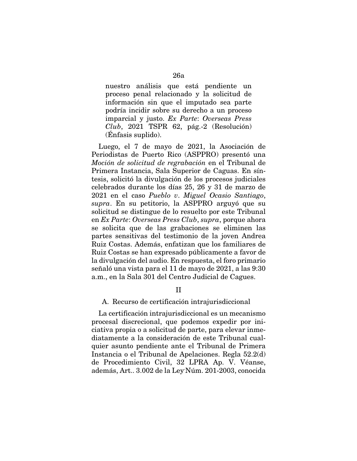nuestro análisis que está pendiente un proceso penal relacionado y la solicitud de información sin que el imputado sea parte podría incidir sobre su derecho a un proceso imparcial y justo. *Ex Parte*: *Overseas Press Club*, 2021 TSPR 62, pág.-2 (Resolución) (Énfasis suplido).

Luego, el 7 de mayo de 2021, la Asociación de Periodistas de Puerto Rico (ASPPRO) presentó una *Moción de solicitud de regrabación* en el Tribunal de Primera Instancia, Sala Superior de Caguas. En síntesis, solicitó la divulgación de los procesos judiciales celebrados durante los días 25, 26 y 31 de marzo de 2021 en el caso *Pueblo v*. *Miguel Ocasio Santiago*, *supra*. En su petitorio, la ASPPRO arguyó que su solicitud se distingue de lo resuelto por este Tribunal en *Ex Parte*: *Overseas Press Club*, *supra*, porque ahora se solicita que de las grabaciones se eliminen las partes sensitivas del testimonio de la joven Andrea Ruiz Costas. Además, enfatizan que los familiares de Ruiz Costas se han expresado públicamente a favor de la divulgación del audio. En respuesta, el foro primario señaló una vista para el 11 de mayo de 2021, a las 9:30 a.m., en la Sala 301 del Centro Judicial de Cagues.

II

### A. Recurso de certificación intrajurisdiccional

La certificación intrajurisdiccional es un mecanismo procesal discrecional, que podemos expedir por iniciativa propia o a solicitud de parte, para elevar inmediatamente a la consideración de este Tribunal cualquier asunto pendiente ante el Tribunal de Primera Instancia o el Tribunal de Apelaciones. Regla 52.2(d) de Procedimiento Civil, 32 LPRA Ap. V. Véanse, además, Art.. 3.002 de la Ley-Núm. 201-2003, conocida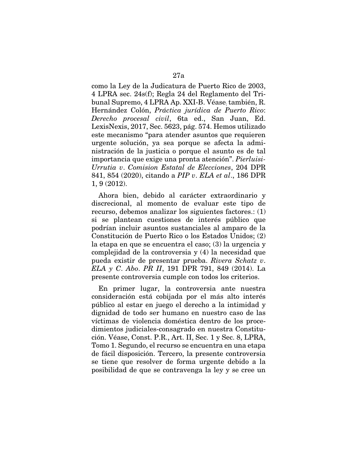como la Ley de la Judicatura de Puerto Rico de 2003, 4 LPRA sec. 24s(f); Regla 24 del Reglamento del Tribunal Supremo, 4 LPRA Ap. XXI-B. Véase; también, R. Hernández Colón, *Práctica jurídica de Puerto Rico*: *Derecho procesal civil*, 6ta ed., San Juan, Ed. LexisNexis, 2017, Sec. 5623, pág. 574. Hemos utilizado este mecanismo "para atender asuntos que requieren urgente solución, ya sea porque se afecta la administración de la justicia o porque el asunto es de tal importancia que exige una pronta atención". *Pierluisi-Urrutia v*. *Comision Estatal de Elecciones*, 204 DPR 841, 854 (2020), citando a *PIP v*. *ELA et al*., 186 DPR 1, 9 (2012).

Ahora bien, debido al carácter extraordinario y discrecional, al momento de evaluar este tipo de recurso, debemos analizar los siguientes factores.: (1) si se plantean cuestiones de interés público que podrían incluir asuntos sustanciales al amparo de la Constitución de Puerto Rico o los Estados Unidos; (2) la etapa en que se encuentra el caso; (3) la urgencia y complejidad de la controversia y (4) la necesidad que pueda existir de presentar prueba. *Rivera Schatz v*. *ELA y C*. *Abo*. *PR II*, 191 DPR 791, 849 (2014). La presente controversia cumple con todos los criterios.

En primer lugar, la controversia ante nuestra consideración está cobijada por el más alto interés público al estar en juego el derecho a la intimidad y dignidad de todo ser humano en nuestro caso de las víctimas de violencia doméstica dentro de los procedimientos judiciales-consagrado en nuestra Constitución. Véase, Const. P.R., Art. II, Sec. 1 y Sec. 8, LPRA, Tomo 1. Segundo, el recurso se encuentra en una etapa de fácil disposición. Tercero, la presente controversia se tiene que resolver de forma urgente debido a la posibilidad de que se contravenga la ley y se cree un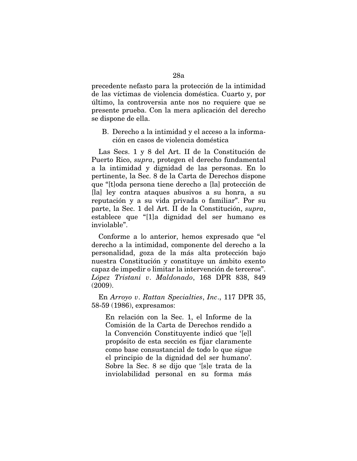precedente nefasto para la protección de la intimidad de las víctimas de violencia doméstica. Cuarto y, por último, la controversia ante nos no requiere que se presente prueba. Con la mera aplicación del derecho se dispone de ella.

## B. Derecho a la intimidad y el acceso a la información en casos de violencia doméstica

Las Secs. 1 y 8 del Art. II de la Constitución de Puerto Rico, *supra*, protegen el derecho fundamental a la intimidad y dignidad de las personas. En lo pertinente, la Sec. 8 de la Carta de Derechos dispone que "[t]oda persona tiene derecho a [la] protección de [la] ley contra ataques abusivos a su honra, a su reputación y a su vida privada o familiar". Por su parte, la Sec. 1 del Art. II de la Constitución, *supra*, establece que "[1]a dignidad del ser humano es inviolable".

Conforme a lo anterior, hemos expresado que "el derecho a la intimidad, componente del derecho a la personalidad, goza de la más alta protección bajo nuestra Constitución y constituye un ámbito exento capaz de impedir o limitar la intervención de terceros". *López Tristani v*. *Maldonado*, 168 DPR 838, 849 (2009).

En *Arroyo v*. *Rattan Specialties*, *Inc*., 117 DPR 35, 58-59 (1986), expresamos:

En relación con la Sec. 1, el Informe de la Comisión de la Carta de Derechos rendido a la Convención Constituyente indicó que '[e]l propósito de esta sección es fijar claramente como base consustancial de todo lo que sigue el principio de la dignidad del ser humano'. Sobre la Sec. 8 se dijo que '[s]e trata de la inviolabilidad personal en su forma más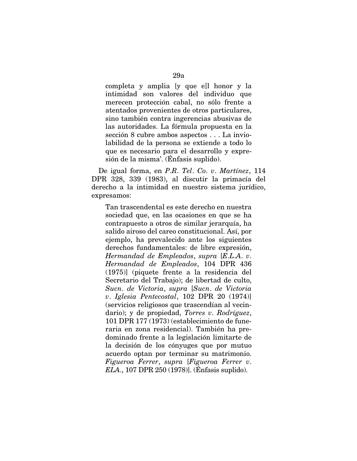completa y amplia [y que e]l honor y la intimidad son valores del individuo que merecen protección cabal, no sólo frente a atentados provenientes de otros particulares, sino también contra ingerencias abusivas de las autoridades. La fórmula propuesta en la sección 8 cubre ambos aspectos . . . La inviolabilidad de la persona se extiende a todo lo que es necesario para el desarrollo y expresión de la misma'. (Énfasis suplido).

De igual forma, en *P*.*R*. *Tel*. *Co*. *v*. *Martínez*, 114 DPR 328, 339 (1983), al discutir la primacía del derecho a la intimidad en nuestro sistema jurídico, expresamos:

Tan trascendental es este derecho en nuestra sociedad que, en las ocasiones en que se ha contrapuesto a otros de similar jerarquía, ha salido airoso del careo constitucional. Así, por ejemplo, ha prevalecido ante los siguientes derechos fundamentales: de libre expresión, *Hermandad de Empleados*, *supra* [*E*.*L*.*A*. *v*. *Hermandad de Empleados*, 104 DPR 436 (1975)] (piquete frente a la residencia del Secretario del Trabajo); de libertad de culto, *Sucn*. *de Victoria*, *supra* [*Sucn*. *de Victoria v*. *Iglesia Pentecostal*, 102 DPR 20 (1974)] (servicios religiosos que trascendían al vecindario); y de propiedad, *Torres v*. *Rodríguez*, 101 DPR 177 (1973) (establecimiento de funeraria en zona residencial). También ha predominado frente a la legislación limitarte de la decisión de los cónyuges que por mutuo acuerdo optan por terminar su matrimonio. *Figueroa Ferrer*, *supra* [*Figueroa Ferrer v*. *ELA*., 107 DPR 250 (1978)]. (Énfasis suplido).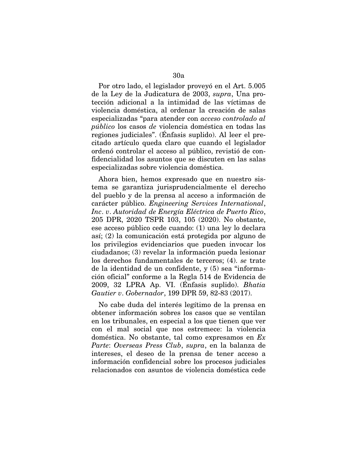Por otro lado, el legislador proveyó en el Art. 5.005 de la Ley de la Judicatura de 2003, *supra*, Una protección adicional a la intimidad de las víctimas de violencia doméstica, al ordenar la creación de salas especializadas "para atender con *acceso controlado al público* los casos *de* violencia doméstica en todas las regiones judiciales". (Énfasis suplido). Al leer el precitado artículo queda claro que cuando el legislador ordenó controlar el acceso al público, revistió de confidencialidad los asuntos que se discuten en las salas especializadas sobre violencia doméstica.

Ahora bien, hemos expresado que en nuestro sistema se garantiza jurisprudencialmente el derecho del pueblo y de la prensa al acceso a información de carácter público. *Engineering Services International*, *Inc*. *v*. *Autoridad de Energía Eléctrica de Puerto Rico*, 205 DPR, 2020 TSPR 103, 105 (2020). No obstante, ese acceso público cede cuando: (1) una ley lo declara así; (2) la comunicación está protegida por alguno de los privilegios evidenciarios que pueden invocar los ciudadanos; (3) revelar la información pueda lesionar los derechos fundamentales de terceros; (4). *se* trate de la identidad de un confidente, y (5) sea "información oficial" conforme a la Regla 514 de Evidencia de 2009, 32 LPRA Ap. VI. (Énfasis suplido). *Bhatia Gautier v*. *Gobernador*, 199 DPR 59, 82-83 (2017).

No cabe duda del interés legítimo de la prensa en obtener información sobres los casos que se ventilan en los tribunales, en especial a los que tienen que ver con el mal social que nos estremece: la violencia doméstica. No obstante, tal como expresamos en *Ex Parte*: *Overseas Press Club*, *supra*, en la balanza de intereses, el deseo de la prensa de tener acceso a información confidencial sobre los procesos judiciales relacionados con asuntos de violencia doméstica cede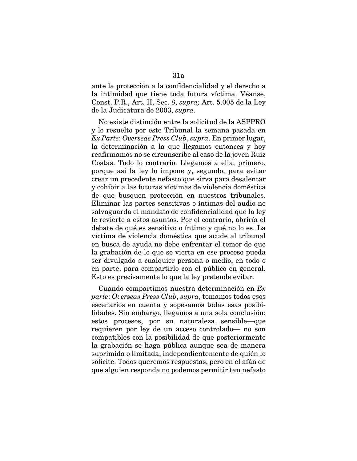ante la protección a la confidencialidad y el derecho a la intimidad que tiene toda futura víctima. Véanse, Const. P.R., Art. II, Sec. 8, *supra;* Art. 5.005 de la Ley de la Judicatura de 2003, *supra*.

No existe distinción entre la solicitud de la ASPPRO y lo resuelto por este Tribunal la semana pasada en *Ex Parte*: *Overseas Press Club*, *supra*. En primer lugar, la determinación a la que llegamos entonces y hoy reafirmamos no se circunscribe al caso de la joven Ruiz Costas. Todo lo contrario. Llegamos a ella, primero, porque así la ley lo impone y, segundo, para evitar crear un precedente nefasto que sirva para desalentar y cohibir a las futuras víctimas de violencia doméstica de que busquen protección en nuestros tribunales. Eliminar las partes sensitivas o íntimas del audio no salvaguarda el mandato de confidencialidad que la ley le revierte a estos asuntos. Por el contrario, abriría el debate de qué es sensitivo o íntimo y qué no lo es. La víctima de violencia doméstica que acude al tribunal en busca de ayuda no debe enfrentar el temor de que la grabación de lo que se vierta en ese proceso pueda ser divulgado a cualquier persona o medio, en todo o en parte, para compartirlo con el público en general. Esto es precisamente lo que la ley pretende evitar.

Cuando compartimos nuestra determinación en *Ex parte*: *Overseas Press Club*, *supra*, tomamos todos esos escenarios en cuenta y sopesamos todas esas posibilidades. Sin embargo, llegamos a una sola conclusión: estos procesos, por su naturaleza sensible—que requieren por ley de un acceso controlado— no son compatibles con la posibilidad de que posteriormente la grabación se haga pública aunque sea de manera suprimida o limitada, independientemente de quién lo solicite. Todos queremos respuestas, pero en el afán de que alguien responda no podemos permitir tan nefasto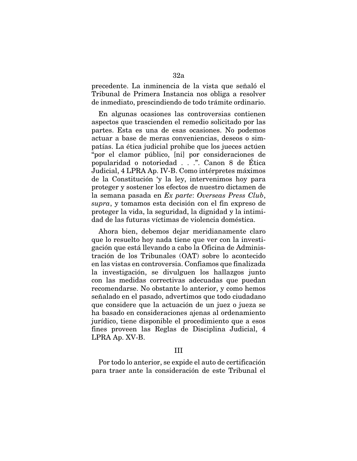precedente. La inminencia de la vista que señaló el Tribunal de Primera Instancia nos obliga a resolver de inmediato, prescindiendo de todo trámite ordinario.

En algunas ocasiones las controversias contienen aspectos que trascienden el remedio solicitado por las partes. Esta es una de esas ocasiones. No podemos actuar a base de meras conveniencias, deseos o simpatías. La ética judicial prohibe que los jueces actúen "por el clamor público, [ni] por consideraciones de popularidad o notoriedad . . .". Canon 8 de Ética Judicial, 4 LPRA Ap. IV-B. Como intérpretes máximos de la Constitución 'y la ley, intervenimos hoy para proteger y sostener los efectos de nuestro dictamen de la semana pasada en *Ex parte*: *Overseas Press Club*, *supra*, y tomamos esta decisión con el fin expreso de proteger la vida, la seguridad, la dignidad y la intimidad de las futuras víctimas de violencia doméstica.

Ahora bien, debemos dejar meridianamente claro que lo resuelto hoy nada tiene que ver con la investigación que está llevando a cabo la Oficina de Administración de los Tribunales (OAT) sobre lo acontecido en las vistas en controversia. Confiamos que finalizada la investigación, se divulguen los hallazgos junto con las medidas correctivas adecuadas que puedan recomendarse. No obstante lo anterior, y como hemos señalado en el pasado, advertimos que todo ciudadano que considere que la actuación de un juez o jueza se ha basado en consideraciones ajenas al ordenamiento jurídico, tiene disponible el procedimiento que a esos fines proveen las Reglas de Disciplina Judicial, 4 LPRA Ap. XV-B.

#### III

Por todo lo anterior, se expide el auto de certificación para traer ante la consideración de este Tribunal el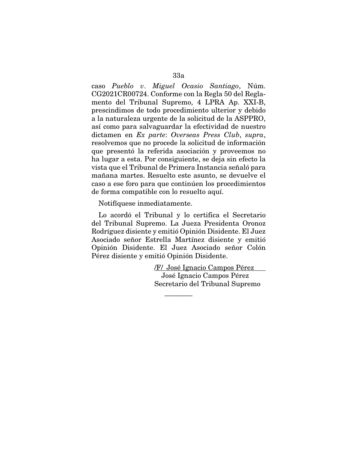caso *Pueblo v*. *Miguel Ocasio Santiago*, Núm. CG2021CR00724. Conforme con la Regla 50 del Reglamento del Tribunal Supremo, 4 LPRA Ap. XXI-B, prescindimos de todo procedimiento ulterior y debido a la naturaleza urgente de la solicitud de la ASPPRO, así como para salvaguardar la efectividad de nuestro dictamen en *Ex parte*: *Overseas Press Club*, *supra*, resolvemos que no procede la solicitud de información que presentó la referida asociación y proveemos no ha lugar a esta. Por consiguiente, se deja sin efecto la vista que el Tribunal de Primera Instancia señaló para mañana martes. Resuelto este asunto, se devuelve el caso a ese foro para que continúen los procedimientos de forma compatible con lo resuelto aquí.

Notifíquese inmediatamente.

Lo acordó el Tribunal y lo certifica el Secretario del Tribunal Supremo. La Jueza Presidenta Oronoz Rodríguez disiente y emitió Opinión Disidente. El Juez Asociado señor Estrella Martínez disiente y emitió Opinión Disidente. El Juez Asociado señor Colón Pérez disiente y emitió Opinión Disidente.

————

/F/ José Ignacio Campos Pérez José Ignacio Campos Pérez Secretario del Tribunal Supremo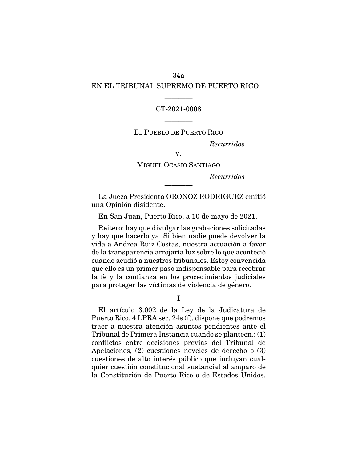## 34a EN EL TRIBUNAL SUPREMO DE PUERTO RICO

### CT-2021-0008

————

EL PUEBLO DE PUERTO RICO

————

*Recurridos* 

v.

MIGUEL OCASIO SANTIAGO

*Recurridos* 

La Jueza Presidenta ORONOZ RODRIGUEZ emitió una Opinión disidente.

————

En San Juan, Puerto Rico, a 10 de mayo de 2021.

Reitero: hay que divulgar las grabaciones solicitadas y hay que hacerlo ya. Si bien nadie puede devolver la vida a Andrea Ruiz Costas, nuestra actuación a favor de la transparencia arrojaría luz sobre lo que aconteció cuando acudió a nuestros tribunales. Estoy convencida que ello es un primer paso indispensable para recobrar la fe y la confianza en los procedimientos judiciales para proteger las víctimas de violencia de género.

I

El artículo 3.002 de la Ley de la Judicatura de Puerto Rico, 4 LPRA sec. 24s (f), dispone que podremos traer a nuestra atención asuntos pendientes ante el Tribunal de Primera Instancia cuando se planteen.: (1) conflictos entre decisiones previas del Tribunal de Apelaciones, (2) cuestiones noveles de derecho o (3) cuestiones de alto interés público que incluyan cualquier cuestión constitucional sustancial al amparo de la Constitución de Puerto Rico o de Estados Unidos.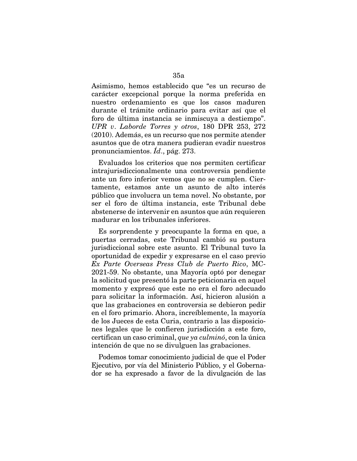Asimismo, hemos establecido que "es un recurso de carácter excepcional porque la norma preferida en nuestro ordenamiento es que los casos maduren durante el trámite ordinario para evitar así que el foro de última instancia se inmiscuya a destiempo". *UPR v*. *Laborde Torres y otros*, 180 DPR 253, 272 (2010). Además, es un recurso que nos permite atender asuntos que de otra manera pudieran evadir nuestros pronunciamientos. *Íd*., pág. 273.

Evaluados los criterios que nos permiten certificar intrajurisdiccionalmente una controversia pendiente ante un foro inferior vemos que no se cumplen. Ciertamente, estamos ante un asunto de alto interés público que involucra un tema novel. No obstante, por ser el foro de última instancia, este Tribunal debe abstenerse de intervenir en asuntos que aún requieren madurar en los tribunales inferiores.

Es sorprendente y preocupante la forma en que, a puertas cerradas, este Tribunal cambió su postura jurisdiccional sobre este asunto. El Tribunal tuvo la oportunidad de expedir y expresarse en el caso previo *Ex Parte Overseas Press Club de Puerto Rico*, MC-2021-59. No obstante, una Mayoría optó por denegar la solicitud que presentó la parte peticionaria en aquel momento y expresó que este no era el foro adecuado para solicitar la información. Así, hicieron alusión a que las grabaciones en controversia se debieron pedir en el foro primario. Ahora, increíblemente, la mayoría de los Jueces de esta Curia, contrario a las disposiciones legales que le confieren jurisdicción a este foro, certifican un caso criminal, *que ya culminó*, con la única intención de que no se divulguen las grabaciones.

Podemos tomar conocimiento judicial de que el Poder Ejecutivo, por vía del Ministerio Público, y el Gobernador se ha expresado a favor de la divulgación de las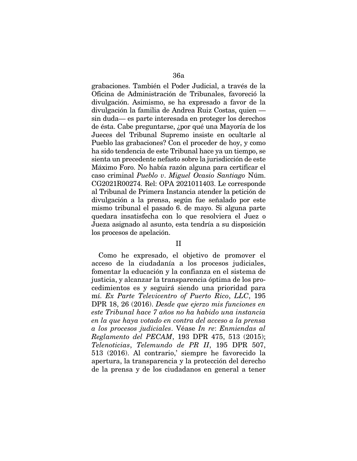grabaciones. También el Poder Judicial, a través de la Oficina de Administración de Tribunales, favoreció la divulgación. Asimismo, se ha expresado a favor de la divulgación la familia de Andrea Ruiz Costas, quien sin duda— es parte interesada en proteger los derechos de ésta. Cabe preguntarse, ¿por qué una Mayoría de los Jueces del Tribunal Supremo insiste en ocultarle al Pueblo las grabaciones? Con el proceder de hoy, y como ha sido tendencia de este Tribunal hace ya un tiempo, se sienta un precedente nefasto sobre la jurisdicción de este Máximo Foro. No había razón alguna para certificar el caso criminal *Pueblo v*. *Miguel Ocasio Santiago* Núm. CG2021R00274. Rel: OPA 2021011403. Le corresponde al Tribunal de Primera Instancia atender la petición de divulgación a la prensa, según fue señalado por este mismo tribunal el pasado 6. de mayo. Si alguna parte quedara insatisfecha con lo que resolviera el Juez o Jueza asignado al asunto, esta tendría a su disposición los procesos de apelación.

#### II

Como he expresado, el objetivo de promover el acceso de la ciudadanía a los procesos judiciales, fomentar la educación y la confianza en el sistema de justicia, y alcanzar la transparencia óptima de los procedimientos es y seguirá siendo una prioridad para mí. *Ex Parte Televicentro of Puerto Rico*, *LLC*, 195 DPR 18, 26 (2016). *Desde que ejerzo mis funciones en este Tribunal hace 7 años no ha habido una instancia en la que haya votado en contra del acceso a la prensa a los procesos judiciales*. Véase *In re*: *Enmiendas al Reglamento del PECAM*, 193 DPR 475, 513 (2015); *Telenoticias*, *Telemundo de PR II*, 195 DPR 507, 513 (2016). Al contrario,' siempre he favorecido la apertura, la transparencia y la protección del derecho de la prensa y de los ciudadanos en general a tener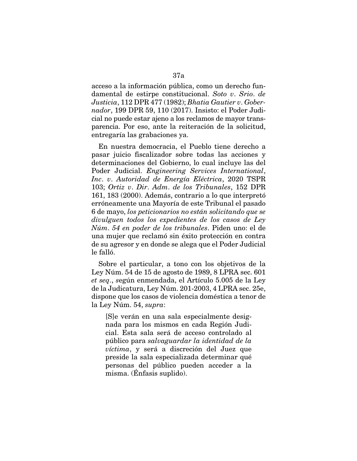acceso a la información pública, como un derecho fundamental de estirpe constitucional. *Soto v*. *Srio*. *de Justicia*, 112 DPR 477 (1982); *Bhatia Gautier v*. *Gobernador*, 199 DPR 59, 110 (2017). Insisto: el Poder Judicial no puede estar ajeno a los reclamos de mayor transparencia. Por eso, ante la reiteración de la solicitud, entregaría las grabaciones ya.

En nuestra democracia, el Pueblo tiene derecho a pasar juicio fiscalizador sobre todas las acciones y determinaciones del Gobierno, lo cual incluye las del Poder Judicial. *Engineering Services International*, *Inc*. *v*. *Autoridad de Energía Eléctrica*, 2020 TSPR 103; *Ortiz v*. *Dir*. *Adm*. *de los Tribunales*, 152 DPR 161, 183 (2000). Además, contrario a lo que interpretó erróneamente una Mayoría de este Tribunal el pasado 6 de mayo, *los peticionarios no están solicitando que se divulguen todos los expedientes de los casos de Ley Núm*. *54 en poder de los tribunales*. Piden uno: el de una mujer que reclamó sin éxito protección en contra de su agresor y en donde se alega que el Poder Judicial le falló.

Sobre el particular, a tono con los objetivos de la Ley Núm. 54 de 15 de agosto de 1989, 8 LPRA sec. 601 *et seq*., *s*egún enmendada, el Artículo 5.005 de la Ley de la Judicatura, Ley Núm. 201-2003, 4 LPRA sec. 25e, dispone que los casos de violencia doméstica a tenor de la Ley Núm. 54, *supra*:

[S]e verán en una sala especialmente designada para los mismos en cada Región Judicial. Esta sala será de acceso controlado al público para *salvaguardar la identidad de la víctima*, y será a discreción del Juez que preside la sala especializada determinar qué personas del público pueden acceder a la misma. (Énfasis suplido).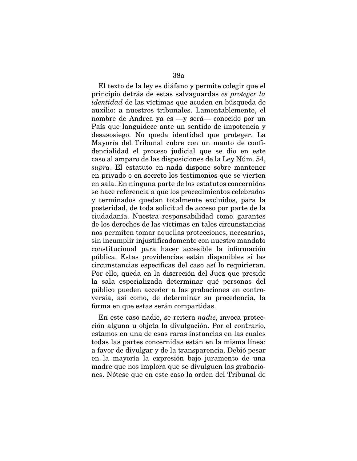El texto de la ley es diáfano y permite colegir que el principio detrás de estas salvaguardas *es proteger la identidad* de las víctimas que acuden en búsqueda de auxilio: a nuestros tribunales. Lamentablemente, el nombre de Andrea ya es —y será— conocido por un País que languidece ante un sentido de impotencia y desasosiego. No queda identidad que proteger. La Mayoría del Tribunal cubre con un manto de confidencialidad el proceso judicial que se dio en este caso al amparo de las disposiciones de la Ley Núm. 54, *supra*. El estatuto en nada dispone sobre mantener en privado o en secreto los testimonios que se vierten en sala. En ninguna parte de los estatutos concernidos se hace referencia a que los procedimientos celebrados y terminados quedan totalmente excluidos, para la posteridad, de toda solicitud de acceso por parte de la ciudadanía. Nuestra responsabilidad como. garantes de los derechos de las víctimas en tales circunstancias nos permiten tomar aquellas protecciones, necesarias, sin incumplir injustificadamente con nuestro mandato constitucional para hacer accesible la información pública. Estas providencias están disponibles si las circunstancias específicas del caso así lo requirieran. Por ello, queda en la discreción del Juez que preside la sala especializada determinar qué personas del público pueden acceder a las grabaciones en controversia, así como, de determinar su procedencia, la

En este caso nadie, se reitera *nadie*, invoca protección alguna u objeta la divulgación. Por el contrario, estamos en una de esas raras instancias en las cuales todas las partes concernidas están en la misma línea: a favor de divulgar y de la transparencia. Debió pesar en la mayoría la expresión bajo juramento de una madre que nos implora que se divulguen las grabaciones. Nótese que en este caso la orden del Tribunal de

forma en que estas serán compartidas.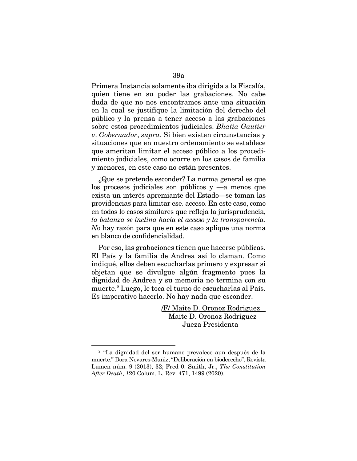Primera Instancia solamente iba dirigida a la Fiscalía, quien tiene en su poder las grabaciones. No cabe duda de que no nos encontramos ante una situación en la cual se justifique la limitación del derecho del público y la prensa a tener acceso a las grabaciones sobre estos procedimientos judiciales. *Bhatia Gautier v*. *Gobernador*, *supra*. Si bien existen circunstancias y situaciones que en nuestro ordenamiento se establece que ameritan limitar el acceso público a los procedimiento judiciales, como ocurre en los casos de familia y menores, en este caso no están presentes.

¿Que se pretende esconder? La norma general es que los procesos judiciales son públicos y —a menos que exista un interés apremiante del Estado—se toman las providencias para limitar ese. acceso. En este caso, como en todos lo casos similares que refleja la jurisprudencia, *la balanza se inclina hacia el acceso y la transparencia*. *N*o hay razón para que en este caso aplique una norma en blanco de confidencialidad.

Por eso, las grabaciones tienen que hacerse públicas. El País y la familia de Andrea así lo claman. Como indiqué, ellos deben escucharlas primero y expresar si objetan que se divulgue algún fragmento pues la dignidad de Andrea y su memoria no termina con su muerte.2 Luego, le toca el turno de escucharlas al País. Es imperativo hacerlo. No hay nada que esconder.

> /F/ Maite D. Oronoz Rodriguez Maite D. Oronoz Rodriguez Jueza Presidenta

<sup>2</sup> "La dignidad del ser humano prevalece aun después de la muerte." Dora Nevares-Muñiz, "Deliberación en bioderecho", Revista Lumen núm. 9 (2013), 32; Fred 0. Smith, Jr., *The Constitution After Death*, *1*20 Colum. L. Rev. 471, 1499 (2020).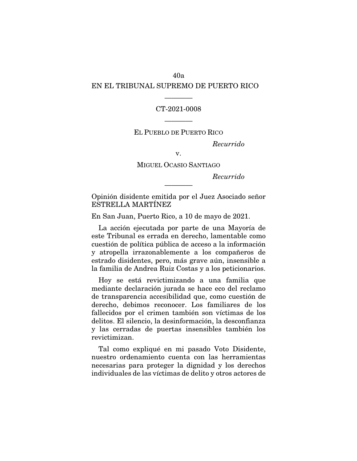## 40a EN EL TRIBUNAL SUPREMO DE PUERTO RICO

### CT-2021-0008

————

EL PUEBLO DE PUERTO RICO

————

*Recurrido* 

v.

MIGUEL OCASIO SANTIAGO

*Recurrido* 

Opinión disidente emitida por el Juez Asociado señor ESTRELLA MARTÍNEZ

————

En San Juan, Puerto Rico, a 10 de mayo de 2021.

La acción ejecutada por parte de una Mayoría de este Tribunal es errada en derecho, lamentable como cuestión de política pública de acceso a la información y atropella irrazonablemente a los compañeros de estrado disidentes, pero, más grave aún, insensible a la familia de Andrea Ruiz Costas y a los peticionarios.

Hoy se está revictimizando a una familia que mediante declaración jurada se hace eco del reclamo de transparencia accesibilidad que, como cuestión de derecho, debimos reconocer. Los familiares de los fallecidos por el crimen también son víctimas de los delitos. El silencio, la desinformación, la desconfianza y las cerradas de puertas insensibles también los revictimizan.

Tal como expliqué en mi pasado Voto Disidente, nuestro ordenamiento cuenta con las herramientas necesarias para proteger la dignidad y los derechos individuales de las víctimas de delito y otros actores de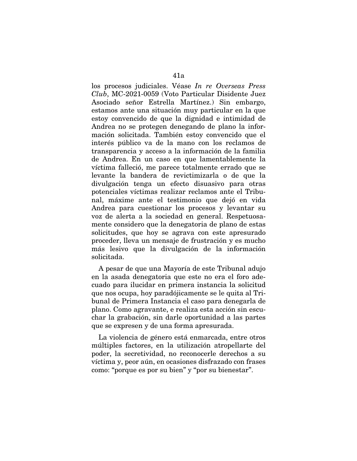los procesos judiciales. Véase *In re Overseas Press Club*, MC-2021-0059 (Voto Particular Disidente Juez Asociado señor Estrella Martínez.) Sin embargo, estamos ante una situación muy particular en la que estoy convencido de que la dignidad e intimidad de Andrea no se protegen denegando de plano la información solicitada. También estoy convencido que el interés público va de la mano con los reclamos de transparencia y acceso a la información de la familia de Andrea. En un caso en que lamentablemente la víctima falleció, me parece totalmente errado que se levante la bandera de revictimizarla o de que la divulgación tenga un efecto disuasivo para otras potenciales víctimas realizar reclamos ante el Tribunal, máxime ante el testimonio que dejó en vida Andrea para cuestionar los procesos y levantar su voz de alerta a la sociedad en general. Respetuosamente considero que la denegatoria de plano de estas solicitudes, que hoy se agrava con este apresurado proceder, lleva un mensaje de frustración y es mucho más lesivo que la divulgación de la información solicitada.

A pesar de que una Mayoría de este Tribunal adujo en la asada denegatoria que este no era el foro adecuado para ilucidar en primera instancia la solicitud que nos ocupa, hoy paradójicamente se le quita al Tribunal de Primera Instancia el caso para denegarla de plano. Como agravante, e realiza esta acción sin escuchar la grabación, sin darle oportunidad a las partes que se expresen y de una forma apresurada.

La violencia de género está enmarcada, entre otros múltiples factores, en la utilización atropellarte del poder, la secretividad, no reconocerle derechos a su víctima y, peor aún, en ocasiones disfrazado con frases como: "porque es por su bien" y "por su bienestar".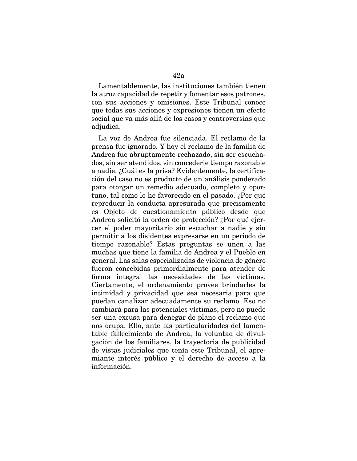Lamentablemente, las instituciones también tienen la atroz capacidad de repetir y fomentar esos patrones, con sus acciones y omisiones. Este Tribunal conoce que todas sus acciones y expresiones tienen un efecto social que va más allá de los casos y controversias que adjudica.

La voz de Andrea fue silenciada. El reclamo de la prensa fue ignorado. Y hoy el reclamo de la familia de Andrea fue abruptamente rechazado, sin ser escuchados, sin ser atendidos, sin concederle tiempo razonable a nadie. ¿Cuál es la prisa? Evidentemente, la certificación del caso no es producto de un análisis ponderado para otorgar un remedio adecuado, completo y oportuno, tal como lo he favorecido en el pasado. ¿Por qué reproducir la conducta apresurada que precisamente es Objeto de cuestionamiento público desde que Andrea solicitó la orden de protección? ¿Por qué ejercer el poder mayoritario sin escuchar a nadie y sin permitir a los disidentes expresarse en un periodo de tiempo razonable? Estas preguntas se unen a las muchas que tiene la familia de Andrea y el Pueblo en general. Las salas especializadas de violencia de género fueron concebidas primordialmente para atender de forma integral las necesidades de las víctimas. Ciertamente, el ordenamiento provee brindarles la intimidad y privacidad que sea necesaria para que puedan canalizar adecuadamente su reclamo. Eso no cambiará para las potenciales víctimas, pero no puede ser una excusa para denegar de plano el reclamo que nos ocupa. Ello, ante las particularidades del lamentable fallecimiento de Andrea, la voluntad de divulgación de los familiares, la trayectoria de publicidad de vistas judiciales que tenía este Tribunal, el apremiante interés público y el derecho de acceso a la información.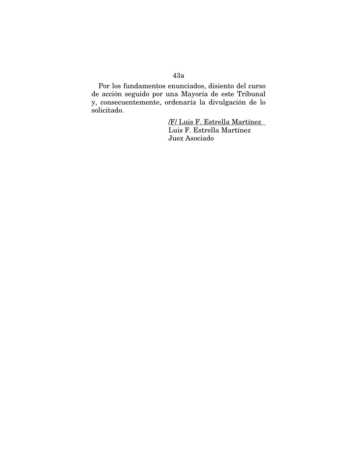## 43a

Por los fundamentos enunciados, disiento del curso de acción seguido por una Mayoría de este Tribunal y, consecuentemente, ordenaría la divulgación de lo solicitado.

> /F/ Luis F. Estrella Martínez Luis F. Estrella Martínez Juez Asociado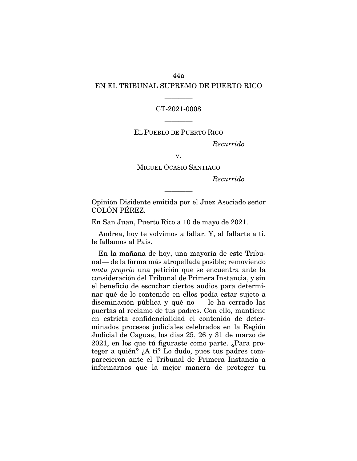## 44a EN EL TRIBUNAL SUPREMO DE PUERTO RICO

#### CT-2021-0008

————

### EL PUEBLO DE PUERTO RICO

————

*Recurrido* 

v.

MIGUEL OCASIO SANTIAGO

*Recurrido* 

Opinión Disidente emitida por el Juez Asociado señor COLÓN PÉREZ.

————

En San Juan, Puerto Rico a 10 de mayo de 2021.

Andrea, hoy te volvimos a fallar. Y, al fallarte a ti, le fallamos al País.

En la mañana de hoy, una mayoría de este Tribunal— de la forma más atropellada posible; removiendo *motu proprio* una petición que se encuentra ante la consideración del Tribunal de Primera Instancia, y sin el beneficio de escuchar ciertos audios para determinar qué de lo contenido en ellos podía estar sujeto a diseminación pública y qué no — le ha cerrado las puertas al reclamo de tus padres. Con ello, mantiene en estricta confidencialidad el contenido de determinados procesos judiciales celebrados en la Región Judicial de Caguas, los días 25, 26 y 31 de marzo de 2021, en los que tú figuraste como parte. ¿Para proteger a quién? ¿A ti? Lo dudo, pues tus padres comparecieron ante el Tribunal de Primera Instancia a informarnos que la mejor manera de proteger tu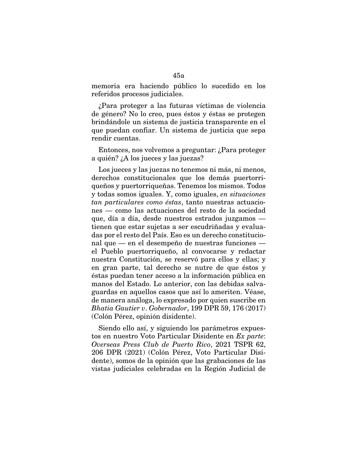memoria era haciendo público lo sucedido en los referidos procesos judiciales.

¿Para proteger a las futuras víctimas de violencia de género? No lo creo, pues éstos y éstas se protegen brindándole un sistema de justicia transparente en el que puedan confiar. Un sistema de justicia que sepa rendir cuentas.

Entonces, nos volvemos a preguntar: ¿Para proteger a quién? ¿A los jueces y las juezas?

Los jueces y las juezas no tenemos ni más, ni menos, derechos constitucionales que los demás puertorriqueños y puertorriqueñas. Tenemos los mismos. Todos y todas somos iguales. Y, como iguales, *en situaciones tan particulares como éstas*, tanto nuestras actuaciones — como las actuaciones del resto de la sociedad que, día a día, desde nuestros estrados juzgamos tienen que estar sujetas a ser escudriñadas y evaluadas por el resto del País. Eso es un derecho constitucional que — en el desempeño de nuestras funciones el Pueblo puertorriqueño, al convocarse y redactar nuestra Constitución, se reservó para ellos y ellas; y en gran parte, tal derecho se nutre de que éstos y éstas puedan tener acceso a la información pública en manos del Estado. Lo anterior, con las debidas salvaguardas en aquellos casos que así lo ameriten. Véase, de manera análoga, lo expresado por quien suscribe en *Bhatia Gautier v*. *Gobernador*, 199 DPR 59, 176 (2017) (Colón Pérez, opinión disidente).

Siendo ello así, y siguiendo los parámetros expuestos en nuestro Voto Particular Disidente en *Ex parte*: *Overseas Press Club de Puerto Rico*, 2021 TSPR 62, 206 DPR (2021) (Colón Pérez, Voto Particular Disidente), somos de la opinión que las grabaciones de las vistas judiciales celebradas en la Región Judicial de